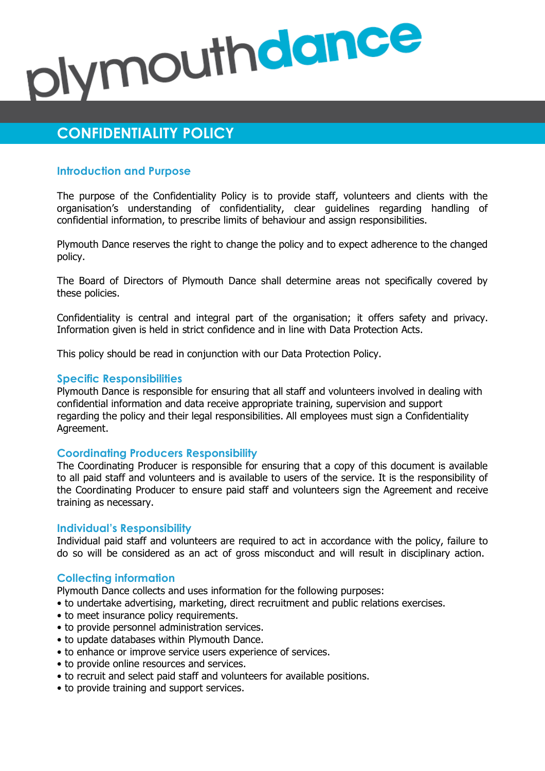# plymouthdance

# **CONFIDENTIALITY POLICY**

# **Introduction and Purpose**

The purpose of the Confidentiality Policy is to provide staff, volunteers and clients with the organisation's understanding of confidentiality, clear guidelines regarding handling of confidential information, to prescribe limits of behaviour and assign responsibilities.

Plymouth Dance reserves the right to change the policy and to expect adherence to the changed policy.

The Board of Directors of Plymouth Dance shall determine areas not specifically covered by these policies.

Confidentiality is central and integral part of the organisation; it offers safety and privacy. Information given is held in strict confidence and in line with Data Protection Acts.

This policy should be read in conjunction with our Data Protection Policy.

# **Specific Responsibilities**

Plymouth Dance is responsible for ensuring that all staff and volunteers involved in dealing with confidential information and data receive appropriate training, supervision and support regarding the policy and their legal responsibilities. All employees must sign a Confidentiality Agreement.

# **Coordinating Producers Responsibility**

The Coordinating Producer is responsible for ensuring that a copy of this document is available to all paid staff and volunteers and is available to users of the service. It is the responsibility of the Coordinating Producer to ensure paid staff and volunteers sign the Agreement and receive training as necessary.

# **Individual's Responsibility**

Individual paid staff and volunteers are required to act in accordance with the policy, failure to do so will be considered as an act of gross misconduct and will result in disciplinary action.

# **Collecting information**

Plymouth Dance collects and uses information for the following purposes:

- to undertake advertising, marketing, direct recruitment and public relations exercises.
- to meet insurance policy requirements.
- to provide personnel administration services.
- to update databases within Plymouth Dance.
- to enhance or improve service users experience of services.
- to provide online resources and services.
- to recruit and select paid staff and volunteers for available positions.
- to provide training and support services.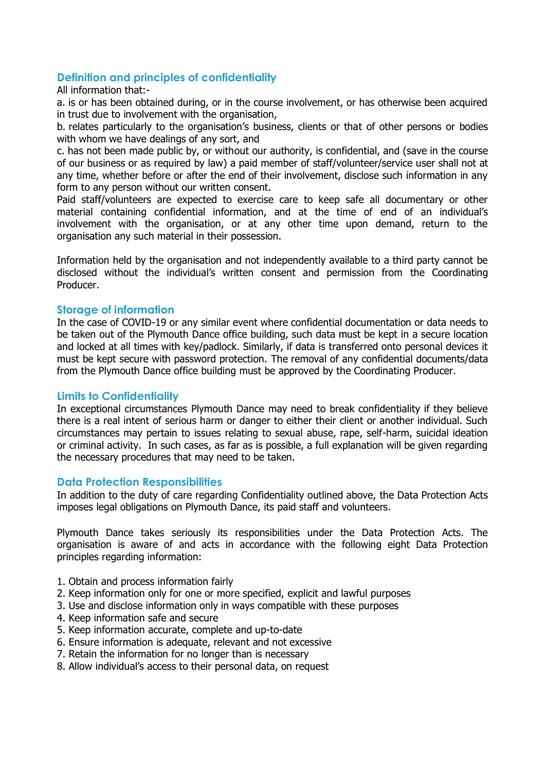# **Definition and principles of confidentiality**

#### All information that:-

a. is or has been obtained during, or in the course involvement, or has otherwise been acquired in trust due to involvement with the organisation,

b. relates particularly to the organisation's business, clients or that of other persons or bodies with whom we have dealings of any sort, and

c. has not been made public by, or without our authority, is confidential, and (save in the course of our business or as required by law) a paid member of staff/volunteer/service user shall not at any time, whether before or after the end of their involvement, disclose such information in any form to any person without our written consent.

Paid staff/volunteers are expected to exercise care to keep safe all documentary or other material containing confidential information, and at the time of end of an individual's involvement with the organisation, or at any other time upon demand, return to the organisation any such material in their possession.

Information held by the organisation and not independently available to a third party cannot be disclosed without the individual's written consent and permission from the Coordinating Producer.

# **Storage of information**

In the case of COVID-19 or any similar event where confidential documentation or data needs to be taken out of the Plymouth Dance office building, such data must be kept in a secure location and locked at all times with key/padlock. Similarly, if data is transferred onto personal devices it must be kept secure with password protection. The removal of any confidential documents/data from the Plymouth Dance office building must be approved by the Coordinating Producer.

# **Limits to Confidentiality**

In exceptional circumstances Plymouth Dance may need to break confidentiality if they believe there is a real intent of serious harm or danger to either their client or another individual. Such circumstances may pertain to issues relating to sexual abuse, rape, self-harm, suicidal ideation or criminal activity. In such cases, as far as is possible, a full explanation will be given regarding the necessary procedures that may need to be taken.

# **Data Protection Responsibilities**

In addition to the duty of care regarding Confidentiality outlined above, the Data Protection Acts imposes legal obligations on Plymouth Dance, its paid staff and volunteers.

Plymouth Dance takes seriously its responsibilities under the Data Protection Acts. The organisation is aware of and acts in accordance with the following eight Data Protection principles regarding information:

- 1. Obtain and process information fairly
- 2. Keep information only for one or more specified, explicit and lawful purposes
- 3. Use and disclose information only in ways compatible with these purposes
- 4. Keep information safe and secure
- 5. Keep information accurate, complete and up-to-date
- 6. Ensure information is adequate, relevant and not excessive
- 7. Retain the information for no longer than is necessary
- 8. Allow individual's access to their personal data, on request